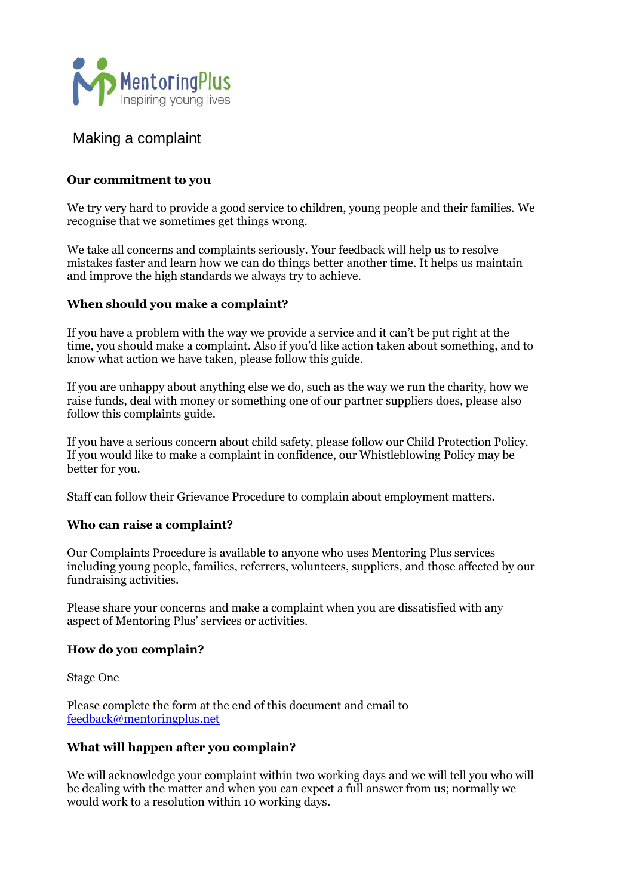

# Making a complaint

# **Our commitment to you**

We try very hard to provide a good service to children, young people and their families. We recognise that we sometimes get things wrong.

We take all concerns and complaints seriously. Your feedback will help us to resolve mistakes faster and learn how we can do things better another time. It helps us maintain and improve the high standards we always try to achieve.

# **When should you make a complaint?**

If you have a problem with the way we provide a service and it can't be put right at the time, you should make a complaint. Also if you'd like action taken about something, and to know what action we have taken, please follow this guide.

If you are unhappy about anything else we do, such as the way we run the charity, how we raise funds, deal with money or something one of our partner suppliers does, please also follow this complaints guide.

If you have a serious concern about child safety, please follow our Child Protection Policy. If you would like to make a complaint in confidence, our Whistleblowing Policy may be better for you.

Staff can follow their Grievance Procedure to complain about employment matters.

# **Who can raise a complaint?**

Our Complaints Procedure is available to anyone who uses Mentoring Plus services including young people, families, referrers, volunteers, suppliers, and those affected by our fundraising activities.

Please share your concerns and make a complaint when you are dissatisfied with any aspect of Mentoring Plus' services or activities.

# **How do you complain?**

Stage One

Please complete the form at the end of this document and email to [feedback@mentoringplus.net](mailto:feedback@mentoringplus.net)

# **What will happen after you complain?**

We will acknowledge your complaint within two working days and we will tell you who will be dealing with the matter and when you can expect a full answer from us; normally we would work to a resolution within 10 working days.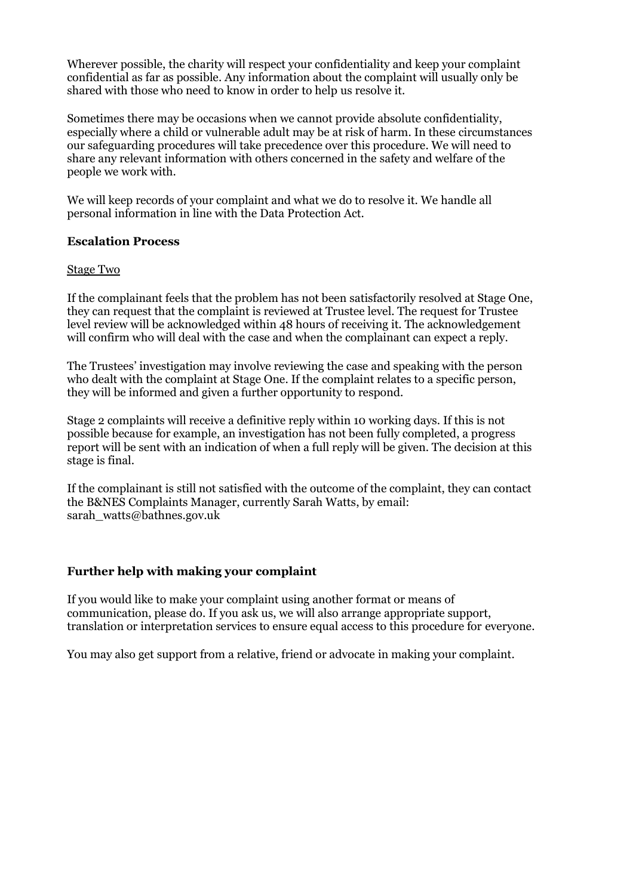Wherever possible, the charity will respect your confidentiality and keep your complaint confidential as far as possible. Any information about the complaint will usually only be shared with those who need to know in order to help us resolve it.

Sometimes there may be occasions when we cannot provide absolute confidentiality, especially where a child or vulnerable adult may be at risk of harm. In these circumstances our safeguarding procedures will take precedence over this procedure. We will need to share any relevant information with others concerned in the safety and welfare of the people we work with.

We will keep records of your complaint and what we do to resolve it. We handle all personal information in line with the Data Protection Act.

#### **Escalation Process**

#### Stage Two

If the complainant feels that the problem has not been satisfactorily resolved at Stage One, they can request that the complaint is reviewed at Trustee level. The request for Trustee level review will be acknowledged within 48 hours of receiving it. The acknowledgement will confirm who will deal with the case and when the complainant can expect a reply.

The Trustees' investigation may involve reviewing the case and speaking with the person who dealt with the complaint at Stage One. If the complaint relates to a specific person, they will be informed and given a further opportunity to respond.

Stage 2 complaints will receive a definitive reply within 10 working days. If this is not possible because for example, an investigation has not been fully completed, a progress report will be sent with an indication of when a full reply will be given. The decision at this stage is final.

If the complainant is still not satisfied with the outcome of the complaint, they can contact the B&NES Complaints Manager, currently Sarah Watts, by email: sarah\_watts@bathnes.gov.uk

# **Further help with making your complaint**

If you would like to make your complaint using another format or means of communication, please do. If you ask us, we will also arrange appropriate support, translation or interpretation services to ensure equal access to this procedure for everyone.

You may also get support from a relative, friend or advocate in making your complaint.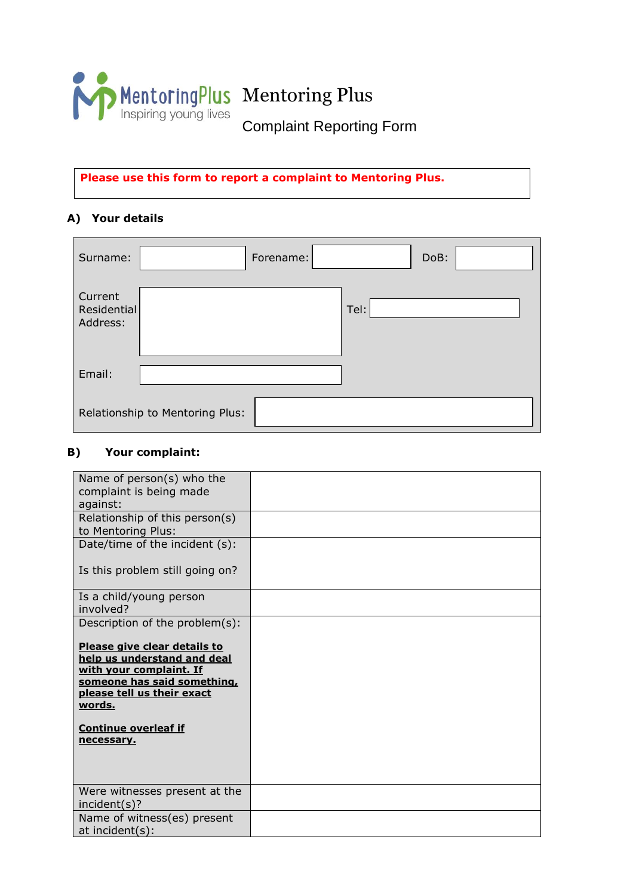

**Please use this form to report a complaint to Mentoring Plus.**

# **A) Your details**

| Surname:                           |                                 | Forename: |      | DoB: |
|------------------------------------|---------------------------------|-----------|------|------|
| Current<br>Residential<br>Address: |                                 |           | Tel: |      |
| Email:                             |                                 |           |      |      |
|                                    | Relationship to Mentoring Plus: |           |      |      |

# **B) Your complaint:**

| Name of person(s) who the<br>complaint is being made<br>against:                                                                                                     |  |
|----------------------------------------------------------------------------------------------------------------------------------------------------------------------|--|
| Relationship of this person(s)<br>to Mentoring Plus:                                                                                                                 |  |
| Date/time of the incident (s):                                                                                                                                       |  |
| Is this problem still going on?                                                                                                                                      |  |
| Is a child/young person<br>involved?                                                                                                                                 |  |
| Description of the problem(s):                                                                                                                                       |  |
| Please give clear details to<br>help us understand and deal<br>with your complaint. If<br>someone has said something,<br>please tell us their exact<br><u>words.</u> |  |
| <b>Continue overleaf if</b><br>necessary.                                                                                                                            |  |
| Were witnesses present at the<br>incident(s)?                                                                                                                        |  |
| Name of witness(es) present<br>at incident(s):                                                                                                                       |  |